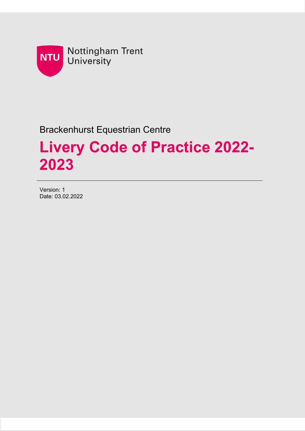

### Brackenhurst Equestrian Centre

# **Livery Code of Practice 2022- 2023**

Version: 1 Date: 03.02.2022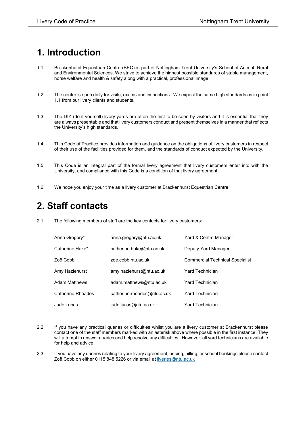# **1. Introduction**

- 1.1. Brackenhurst Equestrian Centre (BEC) is part of Nottingham Trent University's School of Animal, Rural and Environmental Sciences. We strive to achieve the highest possible standards of stable management, horse welfare and health & safety along with a practical, professional image.
- 1.2. The centre is open daily for visits, exams and inspections. We expect the same high standards as in point 1.1 from our livery clients and students.
- 1.3. The DIY (do-it-yourself) livery yards are often the first to be seen by visitors and it is essential that they are always presentable and that livery customers conduct and present themselves in a manner that reflects the University's high standards.
- 1.4. This Code of Practice provides information and guidance on the obligations of livery customers in respect of their use of the facilities provided for them, and the standards of conduct expected by the University.
- 1.5. This Code is an integral part of the formal livery agreement that livery customers enter into with the University, and compliance with this Code is a condition of that livery agreement.
- 1.6. We hope you enjoy your time as a livery customer at Brackenhurst Equestrian Centre.

#### **2. Staff contacts**

2.1. The following members of staff are the key contacts for livery customers:

| Anna Gregory*            | anna.gregory@ntu.ac.uk      | Yard & Centre Manager                  |
|--------------------------|-----------------------------|----------------------------------------|
| Catherine Hake*          | catherine.hake@ntu.ac.uk    | Deputy Yard Manager                    |
| Zoë Cobb                 | zoe.cobb:ntu.ac.uk          | <b>Commercial Technical Specialist</b> |
| Amy Hazlehurst           | amy.hazlehurst@ntu.ac.uk    | Yard Technician                        |
| Adam Matthews            | adam.matthews@ntu.ac.uk     | <b>Yard Technician</b>                 |
| <b>Catherine Rhoades</b> | catherine.rhoades@ntu.ac.uk | <b>Yard Technician</b>                 |
| Jude Lucas               | jude.lucas@ntu.ac.uk        | <b>Yard Technician</b>                 |

- 2.2. If you have any practical queries or difficulties whilst you are a livery customer at Brackenhurst please contact one of the staff members marked with an asterisk above where possible in the first instance. They will attempt to answer queries and help resolve any difficulties. However, all yard technicians are available for help and advice.
- 2.3 If you have any queries relating to your livery agreement, pricing, billing, or school bookings please contact Zoë Cobb on either 0115 848 5226 or via email a[t liveries@ntu.ac.uk](mailto:liveries@ntu.ac.uk)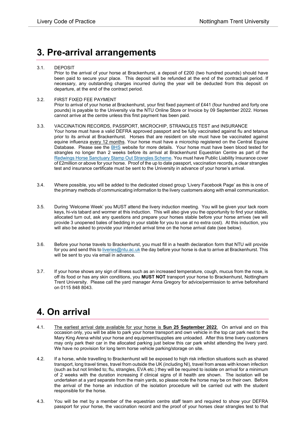#### **3. Pre-arrival arrangements**

#### 3.1. DEPOSIT

Prior to the arrival of your horse at Brackenhurst, a deposit of £200 (two hundred pounds) should have been paid to secure your place. This deposit will be refunded at the end of the contractual period. If necessary, any outstanding charges incurred during the year will be deducted from this deposit on departure, at the end of the contract period.

#### 3.2. FIRST FIXED FEE PAYMENT

Prior to arrival of your horse at Brackenhurst, your first fixed payment of £441 (four hundred and forty one pounds) is payable to the University via the NTU Online Store or Invoice by 09 September 2022. Horses cannot arrive at the centre unless this first payment has been paid.

#### 3.3. VACCINATION RECORDS, PASSPORT, MICROCHIP, STRANGLES TEST and INSURANCE Your horse must have a valid DEFRA approved passport and be fully vaccinated against flu and tetanus prior to its arrival at Brackenhurst. Horses that are resident on site must have be vaccinated against equine influenza every 12 months. Your horse must have a microchip registered on the Central Equine Database. Please see the **BHS** website for more details. Your horse must have been blood tested for strangles no longer than 2 weeks before its arrival at Brackenhurst Equestrian Centre as part of the [Redwings Horse Sanctuary Stamp Out Strangles Scheme.](https://www.redwings.org.uk/strangles) You must have Public Liability Insurance cover of £2million or above for your horse. Proof of the up to date passport, vaccination records, a clear strangles test and insurance certificate must be sent to the University in advance of your horse's arrival.

- 3.4. Where possible, you will be added to the dedicated closed group 'Livery Facebook Page' as this is one of the primary methods of communicating information to the livery customers along with email communication.
- 3.5. During 'Welcome Week' you MUST attend the livery induction meeting. You will be given your tack room keys, hi-vis tabard and wormer at this induction. This will also give you the opportunity to find your stable, allocated turn out, ask any questions and prepare your horses stable before your horse arrives (we will provide 3 unopened bales of bedding in your stable for you to use at no extra cost). At this induction, you will also be asked to provide your intended arrival time on the horse arrival date (see below).
- 3.6. Before your horse travels to Brackenhurst, you must fill in a health declaration form that NTU will provide for you and send this to [liveries@ntu.ac.uk](mailto:liveries@ntu.ac.uk) the day before your horse is due to arrive at Brackenhurst. This will be sent to you via email in advance.
- 3.7. If your horse shows any sign of illness such as an increased temperature, cough, mucus from the nose, is off its food or has any skin conditions, you **MUST NOT** transport your horse to Brackenhurst, Nottingham Trent University. Please call the yard manager Anna Gregory for advice/permission to arrive beforehand on 0115 848 8043.

### **4. On arrival**

- 4.1. The earliest arrival date available for your horse is **Sun 25 September 2022**. On arrival and on this occasion only, you will be able to park your horse transport and own vehicle in the top car park next to the Mary King Arena whilst your horse and equipment/supplies are unloaded. After this time livery customers may only park their car in the allocated parking just below this car park whilst attending the livery yard. We have no provision for long term horse vehicle parking/storage on site.
- 4.2. If a horse, while travelling to Brackenhurst will be exposed to high risk infection situations such as shared transport, long travel times, travel from outside the UK (including NI), travel from areas with known infection (such as but not limited to; flu, strangles, EVA etc.) they will be required to isolate on arrival for a minimum of 2 weeks with the duration increasing if clinical signs of ill health are shown. The isolation will be undertaken at a yard separate from the main yards, so please note the horse may be on their own. Before the arrival of the horse an induction of the isolation procedure will be carried out with the student responsible for the horse.
- 4.3. You will be met by a member of the equestrian centre staff team and required to show your DEFRA passport for your horse, the vaccination record and the proof of your horses clear strangles test to that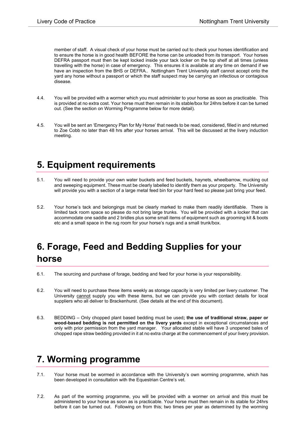member of staff. A visual check of your horse must be carried out to check your horses identification and to ensure the horse is in good health BEFORE the horse can be unloaded from its transport. Your horses DEFRA passport must then be kept locked inside your tack locker on the top shelf at all times (unless travelling with the horse) in case of emergency. This ensures it is available at any time on demand if we have an inspection from the BHS or DEFRA.. Nottingham Trent University staff cannot accept onto the yard any horse without a passport or which the staff suspect may be carrying an infectious or contagious disease.

- 4.4. You will be provided with a wormer which you must administer to your horse as soon as practicable. This is provided at no extra cost. Your horse must then remain in its stable/box for 24hrs before it can be turned out. (See the section on Worming Programme below for more detail).
- 4.5. You will be sent an 'Emergency Plan for My Horse' that needs to be read, considered, filled in and returned to Zoe Cobb no later than 48 hrs after your horses arrival. This will be discussed at the livery induction meeting.

### **5. Equipment requirements**

- 5.1. You will need to provide your own water buckets and feed buckets, haynets, wheelbarrow, mucking out and sweeping equipment. These must be clearly labelled to identify them as your property. The University will provide you with a section of a large metal feed bin for your hard feed so please just bring your feed.
- 5.2. Your horse's tack and belongings must be clearly marked to make them readily identifiable. There is limited tack room space so please do not bring large trunks. You will be provided with a locker that can accommodate one saddle and 2 bridles plus some small items of equipment such as grooming kit & boots etc and a small space in the rug room for your horse's rugs and a small trunk/box.

# **6. Forage, Feed and Bedding Supplies for your horse**

- 6.1. The sourcing and purchase of forage, bedding and feed for your horse is your responsibility.
- 6.2. You will need to purchase these items weekly as storage capacity is very limited per livery customer. The University cannot supply you with these items, but we can provide you with contact details for local suppliers who all deliver to Brackenhurst. (See details at the end of this document).
- 6.3. BEDDING Only chopped plant based bedding must be used**; the use of traditional straw, paper or wood-based bedding is not permitted on the livery yards** except in exceptional circumstances and only with prior permission from the yard manager. Your allocated stable will have 3 unopened bales of chopped rape straw bedding provided in it at no extra charge at the commencement of your livery provision.

# **7. Worming programme**

- 7.1. Your horse must be wormed in accordance with the University's own worming programme, which has been developed in consultation with the Equestrian Centre's vet.
- 7.2. As part of the worming programme, you will be provided with a wormer on arrival and this must be administered to your horse as soon as is practicable. Your horse must then remain in its stable for 24hrs before it can be turned out. Following on from this; two times per year as determined by the worming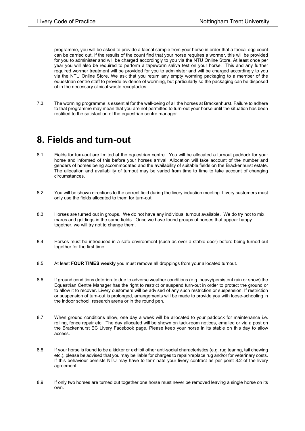programme, you will be asked to provide a faecal sample from your horse in order that a faecal egg count can be carried out. If the results of the count find that your horse requires a wormer, this will be provided for you to administer and will be charged accordingly to you via the NTU Online Store. At least once per year you will also be required to perform a tapeworm saliva test on your horse. This and any further required wormer treatment will be provided for you to administer and will be charged accordingly to you via the NTU Online Store. We ask that you return any empty worming packaging to a member of the equestrian centre staff to provide evidence of worming, but particularly so the packaging can be disposed of in the necessary clinical waste receptacles.

7.3. The worming programme is essential for the well-being of all the horses at Brackenhurst. Failure to adhere to that programme may mean that you are not permitted to turn-out your horse until the situation has been rectified to the satisfaction of the equestrian centre manager.

#### **8. Fields and turn-out**

- 8.1. Fields for turn-out are limited at the equestrian centre. You will be allocated a turnout paddock for your horse and informed of this before your horses arrival. Allocation will take account of the number and genders of horses being accommodated and the availability of suitable fields on the Brackenhurst estate. The allocation and availability of turnout may be varied from time to time to take account of changing circumstances.
- 8.2. You will be shown directions to the correct field during the livery induction meeting. Livery customers must only use the fields allocated to them for turn-out.
- 8.3. Horses are turned out in groups. We do not have any individual turnout available. We do try not to mix mares and geldings in the same fields. Once we have found groups of horses that appear happy together, we will try not to change them.
- 8.4. Horses must be introduced in a safe environment (such as over a stable door) before being turned out together for the first time.
- 8.5. At least **FOUR TIMES weekly** you must remove all droppings from your allocated turnout.
- 8.6. If ground conditions deteriorate due to adverse weather conditions (e.g. heavy/persistent rain or snow) the Equestrian Centre Manager has the right to restrict or suspend turn-out in order to protect the ground or to allow it to recover. Livery customers will be advised of any such restriction or suspension. If restriction or suspension of turn-out is prolonged, arrangements will be made to provide you with loose-schooling in the indoor school, research arena or in the round pen.
- 8.7. When ground conditions allow, one day a week will be allocated to your paddock for maintenance i.e. rolling, fence repair etc. The day allocated will be shown on tack-room notices, emailed or via a post on the Brackenhurst EC Livery Facebook page. Please keep your horse in its stable on this day to allow access.
- 8.8. If your horse is found to be a kicker or exhibit other anti-social characteristics (e.g. rug tearing, tail chewing etc.), please be advised that you may be liable for charges to repair/replace rug and/or for veterinary costs. If this behaviour persists NTU may have to terminate your livery contract as per point 8.2 of the livery agreement.
- 8.9. If only two horses are turned out together one horse must never be removed leaving a single horse on its own.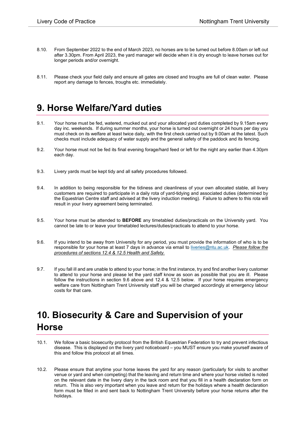- 8.10. From September 2022 to the end of March 2023, no horses are to be turned out before 8.00am or left out after 3.30pm. From April 2023, the yard manager will decide when it is dry enough to leave horses out for longer periods and/or overnight.
- 8.11. Please check your field daily and ensure all gates are closed and troughs are full of clean water. Please report any damage to fences, troughs etc. immediately.

### **9. Horse Welfare/Yard duties**

- 9.1. Your horse must be fed, watered, mucked out and your allocated yard duties completed by 9.15am every day inc. weekends. If during summer months, your horse is turned out overnight or 24 hours per day you must check on its welfare at least twice daily, with the first check carried out by 9.00am at the latest. Such checks must include adequacy of water supply and the general safety of the paddock and its fencing.
- 9.2. Your horse must not be fed its final evening forage/hard feed or left for the night any earlier than 4.30pm each day.
- 9.3. Livery yards must be kept tidy and all safety procedures followed.
- 9.4. In addition to being responsible for the tidiness and cleanliness of your own allocated stable, all livery customers are required to participate in a daily rota of yard-tidying and associated duties (determined by the Equestrian Centre staff and advised at the livery induction meeting). Failure to adhere to this rota will result in your livery agreement being terminated.
- 9.5. Your horse must be attended to **BEFORE** any timetabled duties/practicals on the University yard. You cannot be late to or leave your timetabled lectures/duties/practicals to attend to your horse.
- 9.6. If you intend to be away from University for any period, you must provide the information of who is to be responsible for your horse at least 7 days in advance via email to [liveries@ntu.ac.uk.](mailto:liveries@ntu.ac.uk) *Please follow the procedures of sections 12.4 & 12.5 Health and Safety.*
- 9.7. If you fall ill and are unable to attend to your horse; in the first instance, try and find another livery customer to attend to your horse and please let the yard staff know as soon as possible that you are ill. Please follow the instructions in section 9.6 above and 12.4 & 12.5 below. If your horse requires emergency welfare care from Nottingham Trent University staff you will be charged accordingly at emergency labour costs for that care.

# **10. Biosecurity & Care and Supervision of your Horse**

- 10.1. We follow a basic biosecurity protocol from the British Equestrian Federation to try and prevent infectious disease. This is displayed on the livery yard noticeboard – you MUST ensure you make yourself aware of this and follow this protocol at all times.
- 10.2. Please ensure that anytime your horse leaves the yard for any reason (particularly for visits to another venue or yard and when competing) that the leaving and return time and where your horse visited is noted on the relevant date in the livery diary in the tack room and that you fill in a health declaration form on return. This is also very important when you leave and return for the holidays where a health declaration form must be filled in and sent back to Nottingham Trent University before your horse returns after the holidays.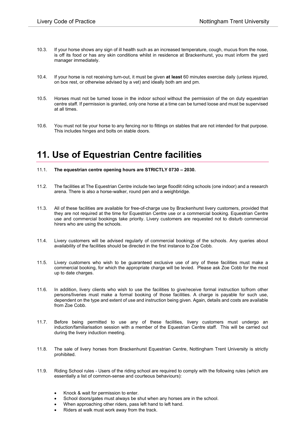- 10.3. If your horse shows any sign of ill health such as an increased temperature, cough, mucus from the nose, is off its food or has any skin conditions whilst in residence at Brackenhurst, you must inform the yard manager immediately.
- 10.4. If your horse is not receiving turn-out, it must be given **at least** 60 minutes exercise daily (unless injured, on box rest, or otherwise advised by a vet) and ideally both am and pm.
- 10.5. Horses must not be turned loose in the indoor school without the permission of the on duty equestrian centre staff. If permission is granted, only one horse at a time can be turned loose and must be supervised at all times.
- 10.6. You must not tie your horse to any fencing nor to fittings on stables that are not intended for that purpose. This includes hinges and bolts on stable doors.

### **11. Use of Equestrian Centre facilities**

- 11.1. **The equestrian centre opening hours are STRICTLY 0730 – 2030.**
- 11.2. The facilities at The Equestrian Centre include two large floodlit riding schools (one indoor) and a research arena. There is also a horse-walker, round pen and a weighbridge.
- 11.3. All of these facilities are available for free-of-charge use by Brackenhurst livery customers, provided that they are not required at the time for Equestrian Centre use or a commercial booking. Equestrian Centre use and commercial bookings take priority. Livery customers are requested not to disturb commercial hirers who are using the schools.
- 11.4. Livery customers will be advised regularly of commercial bookings of the schools. Any queries about availability of the facilities should be directed in the first instance to Zoe Cobb.
- 11.5. Livery customers who wish to be guaranteed exclusive use of any of these facilities must make a commercial booking, for which the appropriate charge will be levied. Please ask Zoe Cobb for the most up to date charges.
- 11.6. In addition, livery clients who wish to use the facilities to give/receive formal instruction to/from other persons/liveries must make a formal booking of those facilities. A charge is payable for such use, dependent on the type and extent of use and instruction being given. Again, details and costs are available from Zoe Cobb.
- 11.7. Before being permitted to use any of these facilities, livery customers must undergo an induction/familiarisation session with a member of the Equestrian Centre staff. This will be carried out during the livery induction meeting.
- 11.8. The sale of livery horses from Brackenhurst Equestrian Centre, Nottingham Trent University is strictly prohibited.
- 11.9. Riding School rules Users of the riding school are required to comply with the following rules (which are essentially a list of common-sense and courteous behaviours):
	- Knock & wait for permission to enter.
	- School doors/gates must always be shut when any horses are in the school.
	- When approaching other riders, pass left hand to left hand.
	- Riders at walk must work away from the track.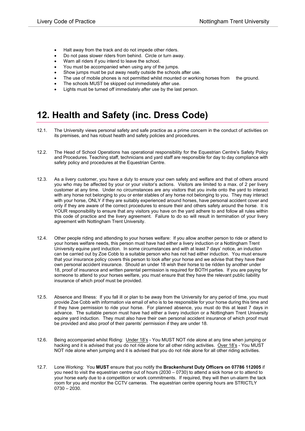- Halt away from the track and do not impede other riders.
- Do not pass slower riders from behind. Circle or turn away.
- Warn all riders if you intend to leave the school.
- You must be accompanied when using any of the jumps.
- Show jumps must be put away neatly outside the schools after use.
- The use of mobile phones is not permitted whilst mounted or working horses from the ground.
- The schools MUST be skipped out immediately after use.
- Lights must be turned off immediately after use by the last person.

### **12. Health and Safety (inc. Dress Code)**

- 12.1. The University views personal safety and safe practice as a prime concern in the conduct of activities on its premises, and has robust health and safety policies and procedures.
- 12.2. The Head of School Operations has operational responsibility for the Equestrian Centre's Safety Policy and Procedures. Teaching staff, technicians and yard staff are responsible for day to day compliance with safety policy and procedures at the Equestrian Centre.
- 12.3. As a livery customer, you have a duty to ensure your own safety and welfare and that of others around you who may be affected by your or your visitor's actions. Visitors are limited to a max. of 2 per livery customer at any time. Under no circumstances are any visitors that you invite onto the yard to interact with any horse not belonging to you or enter stables of any horse not belonging to you. They may interact with your horse, ONLY if they are suitably experienced around horses, have personal accident cover and only if they are aware of the correct procedures to ensure their and others safety around the horse. It is YOUR responsibility to ensure that any visitors you have on the yard adhere to and follow all rules within this code of practice and the livery agreement. Failure to do so will result in termination of your livery agreement with Nottingham Trent University.
- 12.4. Other people riding and attending to your horses welfare: If you allow another person to ride or attend to your horses welfare needs, this person must have had either a livery induction or a Nottingham Trent University equine yard induction. In some circumstances and with at least 7 days' notice, an induction can be carried out by Zoe Cobb to a suitable person who has not had either induction. You must ensure that your insurance policy covers this person to look after your horse and we advise that they have their own personal accident insurance. Should an under 18 wish their horse to be ridden by another under 18, proof of insurance and written parental permission is required for BOTH parties. If you are paying for someone to attend to your horses welfare, you must ensure that they have the relevant public liability insurance of which proof must be provided.
- 12.5. Absence and Illness: If you fall ill or plan to be away from the University for any period of time, you must provide Zoe Cobb with information via email of who is to be responsible for your horse during this time and if they have permission to ride your horse. For planned absence, you must do this at least 7 days in advance. The suitable person must have had either a livery induction or a Nottingham Trent University equine yard induction. They must also have their own personal accident insurance of which proof must be provided and also proof of their parents' permission if they are under 18.
- 12.6. Being accompanied whilst Riding: Under 18's You MUST NOT ride alone at any time when jumping or hacking and it is advised that you do not ride alone for all other riding activities. Over 18's - You MUST NOT ride alone when jumping and it is advised that you do not ride alone for all other riding activities.
- 12.7. Lone Working: You **MUST** ensure that you notify the **Brackenhurst Duty Officers on 07786 112005** if you need to visit the equestrian centre out of hours (2030 – 0730) to attend a sick horse or to attend to your horse early due to a competition or work commitments. If required, they will then un-alarm the tack room for you and monitor the CCTV cameras. The equestrian centre opening hours are STRICTLY 0730 – 2030.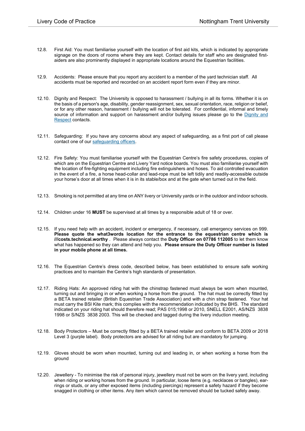- 12.8. First Aid: You must familiarise yourself with the location of first aid kits, which is indicated by appropriate signage on the doors of rooms where they are kept. Contact details for staff who are designated firstaiders are also prominently displayed in appropriate locations around the Equestrian facilities.
- 12.9. Accidents: Please ensure that you report any accident to a member of the yard technician staff. All accidents must be reported and recorded on an accident report form even if they are minor.
- 12.10. Dignity and Respect: The University is opposed to harassment / bullying in all its forms. Whether it is on the basis of a person's age, disability, gender reassignment, sex, sexual orientation, race, religion or belief, or for any other reason, harassment / bullying will not be tolerated. For confidential, informal and timely source of information and support on harassment and/or bullying issues please go to the Dignity and [Respect](https://www4.ntu.ac.uk/equality-diversity-inclusion/supporting-edi/dispute-resolution/dignity-respect-advisor-service/index.html) contacts.
- 12.11. Safeguarding: If you have any concerns about any aspect of safeguarding, as a first port of call please contact one of ou[r safeguarding officers.](https://www.ntu.ac.uk/policies/safeguarding-children-and-vulnerable-adults)
- 12.12. Fire Safety: You must familiarise yourself with the Equestrian Centre's fire safety procedures, copies of which are on the Equestrian Centre and Livery Yard notice boards. You must also familiarise yourself with the location of fire-fighting equipment including fire extinguishers and hoses. To aid controlled evacuation in the event of a fire, a horse head-collar and lead-rope must be left tidily and readily-accessible outside your horse's door at all times when it is in its stable/box and at the gate when turned out in the field.
- 12.13. Smoking is not permitted at any time on ANY livery or University yards or in the outdoor and indoor schools.
- 12.14. Children under 16 **MUST** be supervised at all times by a responsible adult of 18 or over.
- 12.15. If you need help with an accident, incident or emergency, if necessary, call emergency services on 999. **Please quote the what3words location for the entrance to the equestrian centre which is ///costs.technical.worthy** .Please always contact the **Duty Officer on 07786 112005** to let them know what has happened so they can attend and help you. **Please ensure the Duty Officer number is listed in your mobile phone at all times.**
- 12.16. The Equestrian Centre's dress code, described below, has been established to ensure safe working practices and to maintain the Centre's high standards of presentation.
- 12.17. Riding Hats: An approved riding hat with the chinstrap fastened must always be worn when mounted, turning out and bringing in or when working a horse from the ground. The hat must be correctly fitted by a BETA trained retailer (British Equestrian Trade Association) and with a chin strap fastened. Your hat must carry the BSI Kite mark; this complies with the recommendation indicated by the BHS. The standard indicated on your riding hat should therefore read; PAS 015;1998 or 2010, SNELL E2001, AS/NZS 3838 1998 or S/NZS 3838 2003. This will be checked and tagged during the livery induction meeting.
- 12.18. Body Protectors Must be correctly fitted by a BETA trained retailer and conform to BETA 2009 or 2018 Level 3 (purple label). Body protectors are advised for all riding but are mandatory for jumping.
- 12.19. Gloves should be worn when mounted, turning out and leading in, or when working a horse from the ground
- 12.20. Jewellery To minimise the risk of personal injury, jewellery must not be worn on the livery yard, including when riding or working horses from the ground. In particular, loose items (e.g. necklaces or bangles), earrings or studs, or any other exposed items (including piercings) represent a safety hazard if they become snagged in clothing or other items. Any item which cannot be removed should be tucked safely away.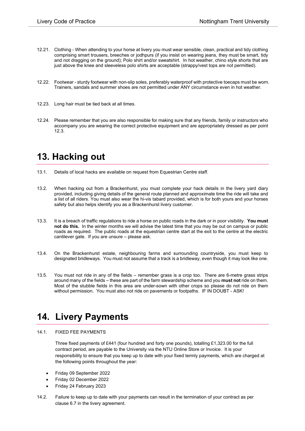- 12.21. Clothing When attending to your horse at livery you must wear sensible, clean, practical and tidy clothing comprising smart trousers, breeches or jodhpurs (if you insist on wearing jeans, they must be smart, tidy and not dragging on the ground); Polo shirt and/or sweatshirt. In hot weather, chino style shorts that are just above the knee and sleeveless polo shirts are acceptable (strappy/vest tops are not permitted).
- 12.22. Footwear sturdy footwear with non-slip soles, preferably waterproof with protective toecaps must be worn. Trainers, sandals and summer shoes are not permitted under ANY circumstance even in hot weather.
- 12.23. Long hair must be tied back at all times.
- 12.24. Please remember that you are also responsible for making sure that any friends, family or instructors who accompany you are wearing the correct protective equipment and are appropriately dressed as per point 12.3.

#### **13. Hacking out**

- 13.1. Details of local hacks are available on request from Equestrian Centre staff.
- 13.2. When hacking out from a Brackenhurst, you must complete your hack details in the livery yard diary provided, including giving details of the general route planned and approximate time the ride will take and a list of all riders. You must also wear the hi-vis tabard provided, which is for both yours and your horses safety but also helps identify you as a Brackenhurst livery customer.
- 13.3. It is a breach of traffic regulations to ride a horse on public roads in the dark or in poor visibility. **You must not do this.** In the winter months we will advise the latest time that you may be out on campus or public roads as required. The public roads at the equestrian centre start at the exit to the centre at the electric cantilever gate. If you are unsure – please ask.
- 13.4. On the Brackenhurst estate, neighbouring farms and surrounding countryside, you must keep to designated bridleways. You must not assume that a track is a bridleway, even though it may look like one.
- 13.5. You must not ride in any of the fields remember grass is a crop too. There are 6-metre grass strips around many of the fields – these are part of the farm stewardship scheme and you **must not** ride on them. Most of the stubble fields in this area are under-sown with other crops so please do not ride on them without permission. You must also not ride on pavements or footpaths. IF IN DOUBT - ASK!

#### **14. Livery Payments**

#### 14.1. FIXED FEE PAYMENTS

Three fixed payments of £441 (four hundred and forty one pounds), totalling £1,323.00 for the full contract period, are payable to the University via the NTU Online Store or Invoice. It is your responsibility to ensure that you keep up to date with your fixed termly payments, which are charged at the following points throughout the year:

- Friday 09 September 2022
- Friday 02 December 2022
- Friday 24 February 2023
- 14.2. Failure to keep up to date with your payments can result in the termination of your contract as per clause 6.7 in the livery agreement.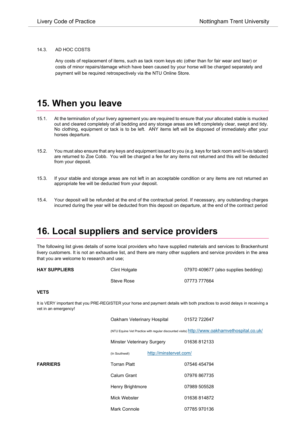#### 14.3. AD HOC COSTS

Any costs of replacement of items, such as tack room keys etc (other than for fair wear and tear) or costs of minor repairs/damage which have been caused by your horse will be charged separately and payment will be required retrospectively via the NTU Online Store.

#### **15. When you leave**

- 15.1. At the termination of your livery agreement you are required to ensure that your allocated stable is mucked out and cleared completely of all bedding and any storage areas are left completely clear, swept and tidy. No clothing, equipment or tack is to be left. ANY items left will be disposed of immediately after your horses departure.
- 15.2. You must also ensure that any keys and equipment issued to you (e.g. keys for tack room and hi-vis tabard) are returned to Zoe Cobb. You will be charged a fee for any items not returned and this will be deducted from your deposit.
- 15.3. If your stable and storage areas are not left in an acceptable condition or any items are not returned an appropriate fee will be deducted from your deposit.
- 15.4. Your deposit will be refunded at the end of the contractual period. If necessary, any outstanding charges incurred during the year will be deducted from this deposit on departure, at the end of the contract period

#### **16. Local suppliers and service providers**

The following list gives details of some local providers who have supplied materials and services to Brackenhurst livery customers. It is not an exhaustive list, and there are many other suppliers and service providers in the area that you are welcome to research and use;

| <b>HAY SUPPLIERS</b> | Clint Holgate | 07970 409677 (also supplies bedding) |
|----------------------|---------------|--------------------------------------|
|                      | Steve Rose    | 07773 777664                         |

#### **VETS**

It is VERY important that you PRE-REGISTER your horse and payment details with both practices to avoid delays in receiving a vet in an emergency!

|                 | Oakham Veterinary Hospital               | 01572 722647                                                                                 |
|-----------------|------------------------------------------|----------------------------------------------------------------------------------------------|
|                 |                                          | (NTU Equine Vet Practice with regular discounted visits) http://www.oakhamvethospital.co.uk/ |
|                 | <b>Minster Veterinary Surgery</b>        | 01636812133                                                                                  |
|                 | http://minstervet.com/<br>(In Southwell) |                                                                                              |
| <b>FARRIERS</b> | <b>Torran Platt</b>                      | 07546 454794                                                                                 |
|                 | Calum Grant                              | 07976 867735                                                                                 |
|                 | <b>Henry Brightmore</b>                  | 07989 505528                                                                                 |
|                 | Mick Webster                             | 01636814872                                                                                  |
|                 | Mark Connole                             | 07785970136                                                                                  |